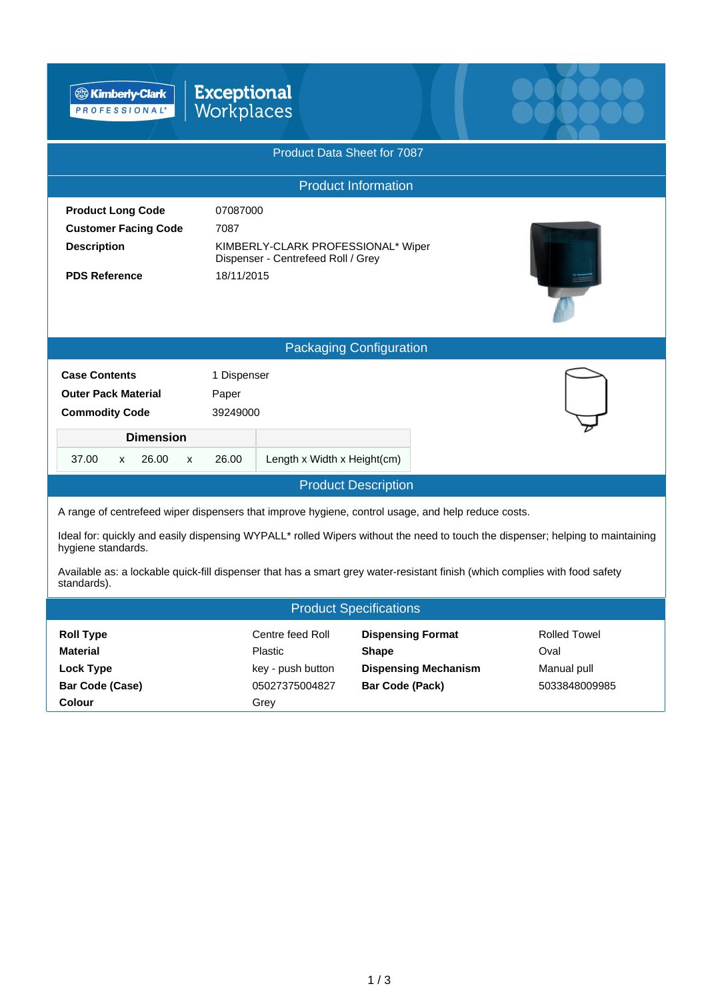| <sup>®</sup> Kimberly-Clark<br>PROFESSIONAL'                                                                                                                                                                                                                                                                                                                                                             | <b>Exceptional</b><br>Workplaces                                                                           |                                                                                                   |                                                             |  |  |  |  |  |
|----------------------------------------------------------------------------------------------------------------------------------------------------------------------------------------------------------------------------------------------------------------------------------------------------------------------------------------------------------------------------------------------------------|------------------------------------------------------------------------------------------------------------|---------------------------------------------------------------------------------------------------|-------------------------------------------------------------|--|--|--|--|--|
| Product Data Sheet for 7087                                                                                                                                                                                                                                                                                                                                                                              |                                                                                                            |                                                                                                   |                                                             |  |  |  |  |  |
| <b>Product Information</b>                                                                                                                                                                                                                                                                                                                                                                               |                                                                                                            |                                                                                                   |                                                             |  |  |  |  |  |
| <b>Product Long Code</b><br><b>Customer Facing Code</b><br><b>Description</b><br><b>PDS Reference</b>                                                                                                                                                                                                                                                                                                    | 07087000<br>7087<br>KIMBERLY-CLARK PROFESSIONAL* Wiper<br>Dispenser - Centrefeed Roll / Grey<br>18/11/2015 |                                                                                                   |                                                             |  |  |  |  |  |
|                                                                                                                                                                                                                                                                                                                                                                                                          |                                                                                                            | <b>Packaging Configuration</b>                                                                    |                                                             |  |  |  |  |  |
| <b>Case Contents</b><br><b>Outer Pack Material</b><br><b>Commodity Code</b><br><b>Dimension</b><br>37.00<br>26.00<br>x<br>X                                                                                                                                                                                                                                                                              | 1 Dispenser<br>Paper<br>39249000<br>26.00<br>Length x Width x Height(cm)                                   |                                                                                                   |                                                             |  |  |  |  |  |
|                                                                                                                                                                                                                                                                                                                                                                                                          |                                                                                                            | <b>Product Description</b>                                                                        |                                                             |  |  |  |  |  |
| A range of centrefeed wiper dispensers that improve hygiene, control usage, and help reduce costs.<br>Ideal for: quickly and easily dispensing WYPALL* rolled Wipers without the need to touch the dispenser; helping to maintaining<br>hygiene standards.<br>Available as: a lockable quick-fill dispenser that has a smart grey water-resistant finish (which complies with food safety<br>standards). |                                                                                                            |                                                                                                   |                                                             |  |  |  |  |  |
|                                                                                                                                                                                                                                                                                                                                                                                                          |                                                                                                            | <b>Product Specifications</b>                                                                     |                                                             |  |  |  |  |  |
| <b>Roll Type</b><br><b>Material</b><br><b>Lock Type</b><br><b>Bar Code (Case)</b><br>Colour                                                                                                                                                                                                                                                                                                              | Centre feed Roll<br>Plastic<br>key - push button<br>05027375004827<br>Grey                                 | <b>Dispensing Format</b><br><b>Shape</b><br><b>Dispensing Mechanism</b><br><b>Bar Code (Pack)</b> | <b>Rolled Towel</b><br>Oval<br>Manual pull<br>5033848009985 |  |  |  |  |  |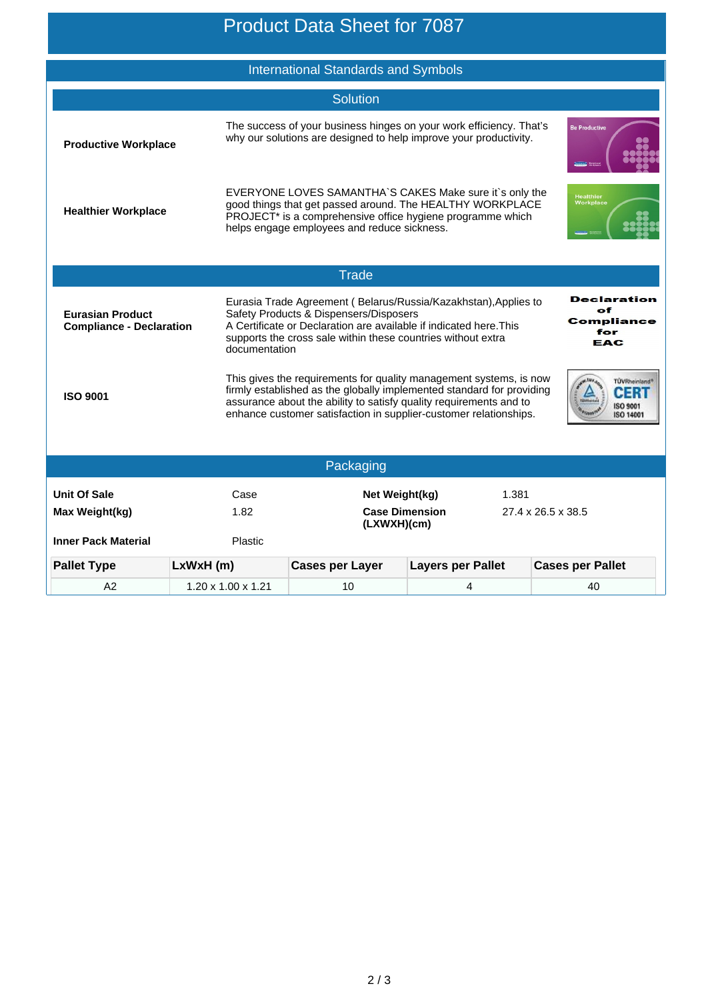## Product Data Sheet for 7087

|                                                                     |                                                                                                                                                                                                                                                                  | <b>International Standards and Symbols</b>             |                                                                                                                                                                                                                                                                                        |                                                |  |  |  |  |
|---------------------------------------------------------------------|------------------------------------------------------------------------------------------------------------------------------------------------------------------------------------------------------------------------------------------------------------------|--------------------------------------------------------|----------------------------------------------------------------------------------------------------------------------------------------------------------------------------------------------------------------------------------------------------------------------------------------|------------------------------------------------|--|--|--|--|
|                                                                     |                                                                                                                                                                                                                                                                  | <b>Solution</b>                                        |                                                                                                                                                                                                                                                                                        |                                                |  |  |  |  |
| <b>Productive Workplace</b>                                         |                                                                                                                                                                                                                                                                  |                                                        | The success of your business hinges on your work efficiency. That's<br>why our solutions are designed to help improve your productivity.                                                                                                                                               | <b>Be Productive</b>                           |  |  |  |  |
| <b>Healthier Workplace</b>                                          |                                                                                                                                                                                                                                                                  | helps engage employees and reduce sickness.            | EVERYONE LOVES SAMANTHA'S CAKES Make sure it's only the<br>good things that get passed around. The HEALTHY WORKPLACE<br>PROJECT* is a comprehensive office hygiene programme which                                                                                                     | <b>Healthier</b><br><b>Workplace</b>           |  |  |  |  |
|                                                                     |                                                                                                                                                                                                                                                                  | <b>Trade</b>                                           |                                                                                                                                                                                                                                                                                        |                                                |  |  |  |  |
| <b>Eurasian Product</b><br><b>Compliance - Declaration</b>          | Eurasia Trade Agreement (Belarus/Russia/Kazakhstan), Applies to<br>Safety Products & Dispensers/Disposers<br>A Certificate or Declaration are available if indicated here. This<br>supports the cross sale within these countries without extra<br>documentation |                                                        | <b>Declaration</b><br>оf<br>Compliance<br>for<br>EAC                                                                                                                                                                                                                                   |                                                |  |  |  |  |
| <b>ISO 9001</b>                                                     |                                                                                                                                                                                                                                                                  |                                                        | This gives the requirements for quality management systems, is now<br>firmly established as the globally implemented standard for providing<br>assurance about the ability to satisfy quality requirements and to<br>enhance customer satisfaction in supplier-customer relationships. | TÜVRheinland*<br>CERT<br>ISO 9001<br>ISO 14001 |  |  |  |  |
| Packaging                                                           |                                                                                                                                                                                                                                                                  |                                                        |                                                                                                                                                                                                                                                                                        |                                                |  |  |  |  |
| <b>Unit Of Sale</b><br>Max Weight(kg)<br><b>Inner Pack Material</b> | Case<br>1.82<br>Plastic                                                                                                                                                                                                                                          | Net Weight(kg)<br><b>Case Dimension</b><br>(LXWXH)(cm) | 1.381                                                                                                                                                                                                                                                                                  | 27.4 x 26.5 x 38.5                             |  |  |  |  |
| <b>Pallet Type</b>                                                  | LxWxH(m)                                                                                                                                                                                                                                                         | <b>Cases per Layer</b>                                 | <b>Layers per Pallet</b>                                                                                                                                                                                                                                                               | <b>Cases per Pallet</b>                        |  |  |  |  |
| A <sub>2</sub>                                                      | $1.20 \times 1.00 \times 1.21$                                                                                                                                                                                                                                   | 10                                                     | 4                                                                                                                                                                                                                                                                                      | 40                                             |  |  |  |  |